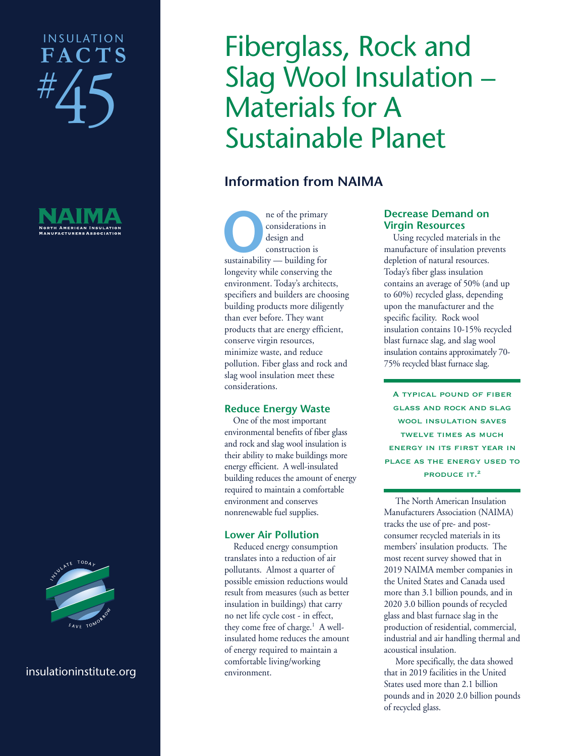## # 45 INSULATION **FAC T S**





#### insulationinstitute.org

# Fiberglass, Rock and Slag Wool Insulation – Materials for A Sustainable Planet

### **Information from NAIMA**

**O**ne of the primary<br>
considerations in<br>
design and<br>
construction is<br>
sustainability — building for considerations in design and construction is longevity while conserving the environment. Today's architects, specifiers and builders are choosing building products more diligently than ever before. They want products that are energy efficient, conserve virgin resources, minimize waste, and reduce pollution. Fiber glass and rock and slag wool insulation meet these considerations.

#### **Reduce Energy Waste**

 One of the most important environmental benefits of fiber glass and rock and slag wool insulation is their ability to make buildings more energy efficient. A well-insulated building reduces the amount of energy required to maintain a comfortable environment and conserves nonrenewable fuel supplies.

#### **Lower Air Pollution**

 Reduced energy consumption translates into a reduction of air pollutants. Almost a quarter of possible emission reductions would result from measures (such as better insulation in buildings) that carry no net life cycle cost - in effect, they come free of charge.<sup>1</sup> A wellinsulated home reduces the amount of energy required to maintain a comfortable living/working environment.

#### **Decrease Demand on Virgin Resources**

 Using recycled materials in the manufacture of insulation prevents depletion of natural resources. Today's fiber glass insulation contains an average of 50% (and up to 60%) recycled glass, depending upon the manufacturer and the specific facility. Rock wool insulation contains 10-15% recycled blast furnace slag, and slag wool insulation contains approximately 70- 75% recycled blast furnace slag.

A typical pound of fiber glass and rock and slag wool insulation saves twelve times as much energy in its first year in place as the energy used to PRODUCE IT.<sup>2</sup>

The North American Insulation Manufacturers Association (NAIMA) tracks the use of pre- and postconsumer recycled materials in its members' insulation products. The most recent survey showed that in 2019 NAIMA member companies in the United States and Canada used more than 3.1 billion pounds, and in 2020 3.0 billion pounds of recycled glass and blast furnace slag in the production of residential, commercial, industrial and air handling thermal and acoustical insulation.

More specifically, the data showed that in 2019 facilities in the United States used more than 2.1 billion pounds and in 2020 2.0 billion pounds of recycled glass.